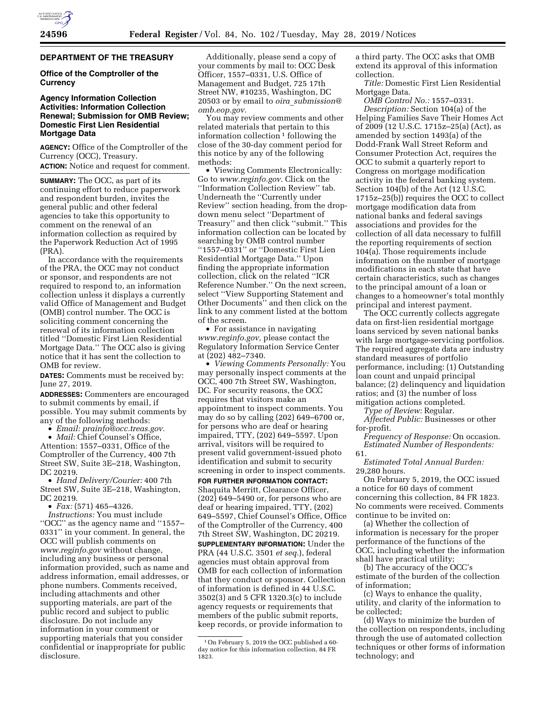# **DEPARTMENT OF THE TREASURY**

# **Office of the Comptroller of the Currency**

# **Agency Information Collection Activities: Information Collection Renewal; Submission for OMB Review; Domestic First Lien Residential Mortgage Data**

**AGENCY:** Office of the Comptroller of the Currency (OCC), Treasury. **ACTION:** Notice and request for comment.

**SUMMARY:** The OCC, as part of its continuing effort to reduce paperwork and respondent burden, invites the general public and other federal agencies to take this opportunity to comment on the renewal of an information collection as required by the Paperwork Reduction Act of 1995 (PRA).

In accordance with the requirements of the PRA, the OCC may not conduct or sponsor, and respondents are not required to respond to, an information collection unless it displays a currently valid Office of Management and Budget (OMB) control number. The OCC is soliciting comment concerning the renewal of its information collection titled ''Domestic First Lien Residential Mortgage Data.'' The OCC also is giving notice that it has sent the collection to OMB for review.

**DATES:** Comments must be received by: June 27, 2019.

**ADDRESSES:** Commenters are encouraged to submit comments by email, if possible. You may submit comments by any of the following methods:

• *Email: [prainfo@occ.treas.gov.](mailto:prainfo@occ.treas.gov)* 

• *Mail:* Chief Counsel's Office, Attention: 1557–0331, Office of the Comptroller of the Currency, 400 7th Street SW, Suite 3E–218, Washington, DC 20219.

• *Hand Delivery/Courier:* 400 7th Street SW, Suite 3E–218, Washington, DC 20219.

• *Fax:* (571) 465–4326.

*Instructions:* You must include ''OCC'' as the agency name and ''1557– 0331'' in your comment. In general, the OCC will publish comments on *[www.reginfo.gov](http://www.reginfo.gov)* without change, including any business or personal information provided, such as name and address information, email addresses, or phone numbers. Comments received, including attachments and other supporting materials, are part of the public record and subject to public disclosure. Do not include any information in your comment or supporting materials that you consider confidential or inappropriate for public disclosure.

Additionally, please send a copy of your comments by mail to: OCC Desk Officer, 1557–0331, U.S. Office of Management and Budget, 725 17th Street NW, #10235, Washington, DC 20503 or by email to *oira*\_*[submission@](mailto:oira_submission@omb.eop.gov) [omb.eop.gov.](mailto:oira_submission@omb.eop.gov)* 

You may review comments and other related materials that pertain to this information collection  $1$  following the close of the 30-day comment period for this notice by any of the following methods:

• Viewing Comments Electronically: Go to *[www.reginfo.gov.](http://www.reginfo.gov)* Click on the ''Information Collection Review'' tab. Underneath the ''Currently under Review'' section heading, from the dropdown menu select ''Department of Treasury'' and then click ''submit.'' This information collection can be located by searching by OMB control number ''1557–0331'' or ''Domestic First Lien Residential Mortgage Data.'' Upon finding the appropriate information collection, click on the related ''ICR Reference Number.'' On the next screen, select ''View Supporting Statement and Other Documents'' and then click on the link to any comment listed at the bottom of the screen.

• For assistance in navigating *[www.reginfo.gov,](http://www.reginfo.gov)* please contact the Regulatory Information Service Center at (202) 482–7340.

• *Viewing Comments Personally:* You may personally inspect comments at the OCC, 400 7th Street SW, Washington, DC. For security reasons, the OCC requires that visitors make an appointment to inspect comments. You may do so by calling (202) 649–6700 or, for persons who are deaf or hearing impaired, TTY, (202) 649–5597. Upon arrival, visitors will be required to present valid government-issued photo identification and submit to security screening in order to inspect comments.

**FOR FURTHER INFORMATION CONTACT:**  Shaquita Merritt, Clearance Officer,  $(202)$  649–5490 or, for persons who are deaf or hearing impaired, TTY, (202) 649–5597, Chief Counsel's Office, Office of the Comptroller of the Currency, 400 7th Street SW, Washington, DC 20219. **SUPPLEMENTARY INFORMATION:** Under the PRA (44 U.S.C. 3501 *et seq.*), federal agencies must obtain approval from OMB for each collection of information that they conduct or sponsor. Collection of information is defined in 44 U.S.C. 3502(3) and 5 CFR 1320.3(c) to include agency requests or requirements that members of the public submit reports, keep records, or provide information to

a third party. The OCC asks that OMB extend its approval of this information collection.

*Title:* Domestic First Lien Residential Mortgage Data.

*OMB Control No.:* 1557–0331. *Description:* Section 104(a) of the Helping Families Save Their Homes Act of 2009 (12 U.S.C. 1715z–25(a) (Act), as amended by section 1493(a) of the Dodd-Frank Wall Street Reform and Consumer Protection Act, requires the OCC to submit a quarterly report to Congress on mortgage modification activity in the federal banking system. Section 104(b) of the Act (12 U.S.C. 1715z–25(b)) requires the OCC to collect mortgage modification data from national banks and federal savings associations and provides for the collection of all data necessary to fulfill the reporting requirements of section 104(a). Those requirements include information on the number of mortgage modifications in each state that have certain characteristics, such as changes to the principal amount of a loan or changes to a homeowner's total monthly principal and interest payment.

The OCC currently collects aggregate data on first-lien residential mortgage loans serviced by seven national banks with large mortgage-servicing portfolios. The required aggregate data are industry standard measures of portfolio performance, including: (1) Outstanding loan count and unpaid principal balance; (2) delinquency and liquidation ratios; and (3) the number of loss mitigation actions completed.

*Type of Review:* Regular.

*Affected Public:* Businesses or other for-profit.

*Frequency of Response:* On occasion. *Estimated Number of Respondents:*  61.

*Estimated Total Annual Burden:*  29,280 hours.

On February 5, 2019, the OCC issued a notice for 60 days of comment concerning this collection, 84 FR 1823. No comments were received. Comments continue to be invited on:

(a) Whether the collection of information is necessary for the proper performance of the functions of the OCC, including whether the information shall have practical utility;

(b) The accuracy of the OCC's estimate of the burden of the collection of information;

(c) Ways to enhance the quality, utility, and clarity of the information to be collected;

(d) Ways to minimize the burden of the collection on respondents, including through the use of automated collection techniques or other forms of information technology; and

<sup>1</sup>On February 5, 2019 the OCC published a 60 day notice for this information collection, 84 FR 1823.